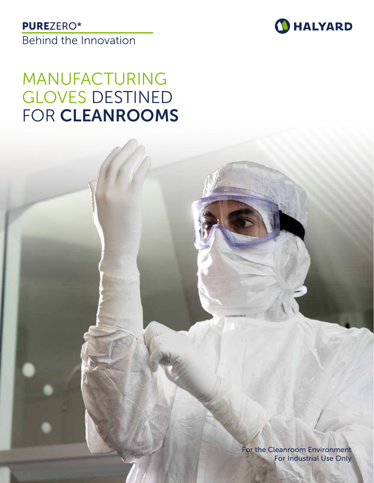### PUREZERO\*

Behind the Innovation



# MANUFACTURING GLOVES DESTINED FOR CLEANROOMS

For the Cleanroom Environment For Industrial Use Only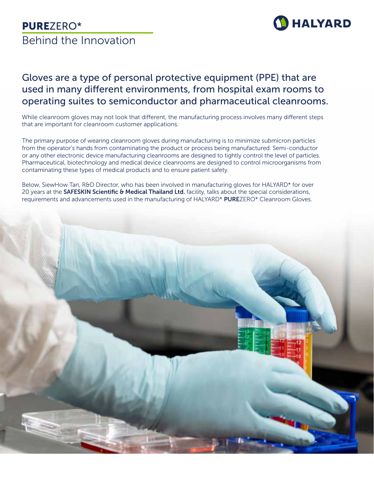

### Gloves are a type of personal protective equipment (PPE) that are used in many different environments, from hospital exam rooms to operating suites to semiconductor and pharmaceutical cleanrooms.

While cleanroom gloves may not look that different, the manufacturing process involves many different steps that are important for cleanroom customer applications.

The primary purpose of wearing cleanroom gloves during manufacturing is to minimize submicron particles from the operator's hands from contaminating the product or process being manufactured. Semi-conductor or any other electronic device manufacturing cleanrooms are designed to tightly control the level of particles. Pharmaceutical, biotechnology and medical device cleanrooms are designed to control microorganisms from contaminating these types of medical products and to ensure patient safety.

Below, SiewHow Tan, R&D Director, who has been involved in manufacturing gloves for HALYARD\* for over 20 years at the SAFESKIN Scientific & Medical Thailand Ltd. facility, talks about the special considerations, requirements and advancements used in the manufacturing of HALYARD\* PUREZERO\* Cleanroom Gloves.

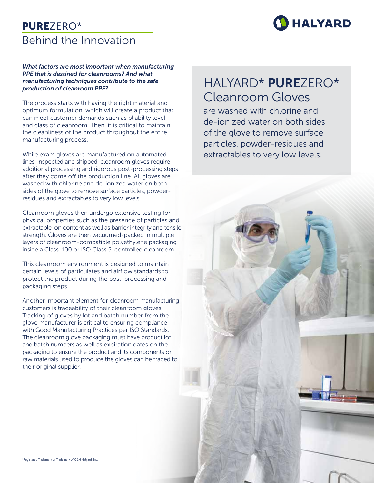

#### *What factors are most important when manufacturing PPE that is destined for cleanrooms? And what manufacturing techniques contribute to the safe production of cleanroom PPE?*

The process starts with having the right material and optimum formulation, which will create a product that can meet customer demands such as pliability level and class of cleanroom. Then, it is critical to maintain the cleanliness of the product throughout the entire manufacturing process.

While exam gloves are manufactured on automated lines, inspected and shipped, cleanroom gloves require additional processing and rigorous post-processing steps after they come off the production line. All gloves are washed with chlorine and de-ionized water on both sides of the glove to remove surface particles, powderresidues and extractables to very low levels.

Cleanroom gloves then undergo extensive testing for physical properties such as the presence of particles and extractable ion content as well as barrier integrity and tensile strength. Gloves are then vacuumed-packed in multiple layers of cleanroom-compatible polyethylene packaging inside a Class-100 or ISO Class 5-controlled cleanroom.

This cleanroom environment is designed to maintain certain levels of particulates and airflow standards to protect the product during the post-processing and packaging steps.

Another important element for cleanroom manufacturing customers is traceability of their cleanroom gloves. Tracking of gloves by lot and batch number from the glove manufacturer is critical to ensuring compliance with Good Manufacturing Practices per ISO Standards. The cleanroom glove packaging must have product lot and batch numbers as well as expiration dates on the packaging to ensure the product and its components or raw materials used to produce the gloves can be traced to their original supplier.

# HALYARD\* PUREZERO\* Cleanroom Gloves

are washed with chlorine and de-ionized water on both sides of the glove to remove surface particles, powder-residues and extractables to very low levels.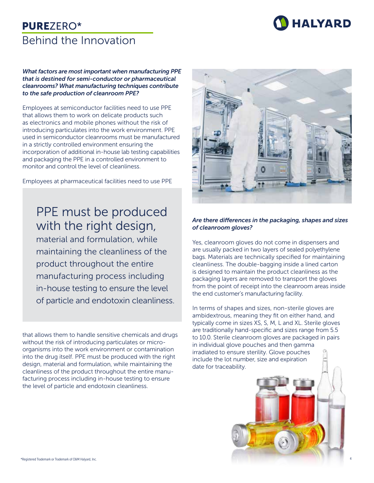

#### *What factors are most important when manufacturing PPE that is destined for semi-conductor or pharmaceutical cleanrooms? What manufacturing techniques contribute to the safe production of cleanroom PPE?*

Employees at semiconductor facilities need to use PPE that allows them to work on delicate products such as electronics and mobile phones without the risk of introducing particulates into the work environment. PPE used in semiconductor cleanrooms must be manufactured in a strictly controlled environment ensuring the incorporation of additional in-house lab testing capabilities and packaging the PPE in a controlled environment to monitor and control the level of cleanliness.

Employees at pharmaceutical facilities need to use PPE

# PPE must be produced with the right design,

material and formulation, while maintaining the cleanliness of the product throughout the entire manufacturing process including in-house testing to ensure the level of particle and endotoxin cleanliness.

that allows them to handle sensitive chemicals and drugs without the risk of introducing particulates or microorganisms into the work environment or contamination into the drug itself. PPE must be produced with the right design, material and formulation, while maintaining the cleanliness of the product throughout the entire manufacturing process including in-house testing to ensure the level of particle and endotoxin cleanliness.



#### *Are there differences in the packaging, shapes and sizes of cleanroom gloves?*

Yes, cleanroom gloves do not come in dispensers and are usually packed in two layers of sealed polyethylene bags. Materials are technically specified for maintaining cleanliness. The double-bagging inside a lined carton is designed to maintain the product cleanliness as the packaging layers are removed to transport the gloves from the point of receipt into the cleanroom areas inside the end customer's manufacturing facility.

In terms of shapes and sizes, non-sterile gloves are ambidextrous, meaning they fit on either hand, and typically come in sizes XS, S, M, L and XL. Sterile gloves are traditionally hand-specific and sizes range from 5.5 to 10.0. Sterile cleanroom gloves are packaged in pairs in individual glove pouches and then gamma irradiated to ensure sterility. Glove pouches include the lot number, size and expiration date for traceability.



4